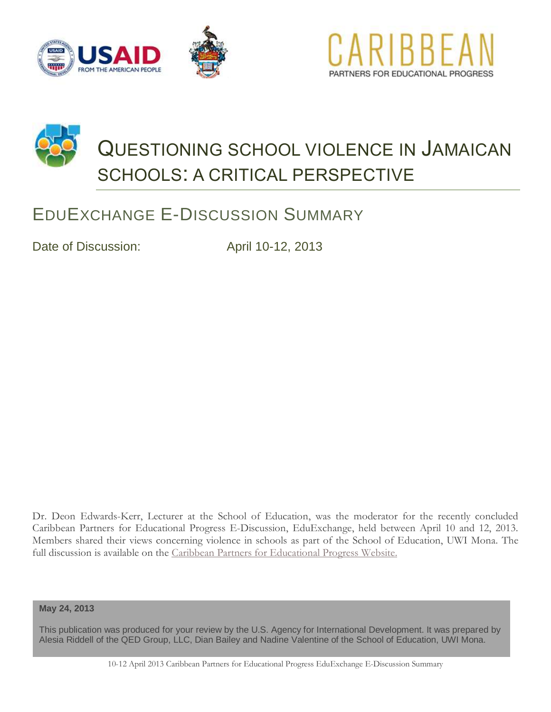





# EDUEXCHANGE E-DISCUSSION SUMMARY

Date of Discussion: April 10-12, 2013

Dr. Deon Edwards-Kerr, Lecturer at the School of Education, was the moderator for the recently concluded Caribbean Partners for Educational Progress E-Discussion, EduExchange, held between April 10 and 12, 2013. Members shared their views concerning violence in schools as part of the School of Education, UWI Mona. The full discussion is available on the Caribbean [Partners for Educational Progress Website.](http://jamaica.kdid.org/groups/eduexchange-questioning-school-violence-jamaican-schools-critical-perspective)

**May 24, 2013**

This publication was produced for your review by the U.S. Agency for International Development. It was prepared by Alesia Riddell of the QED Group, LLC, Dian Bailey and Nadine Valentine of the School of Education, UWI Mona.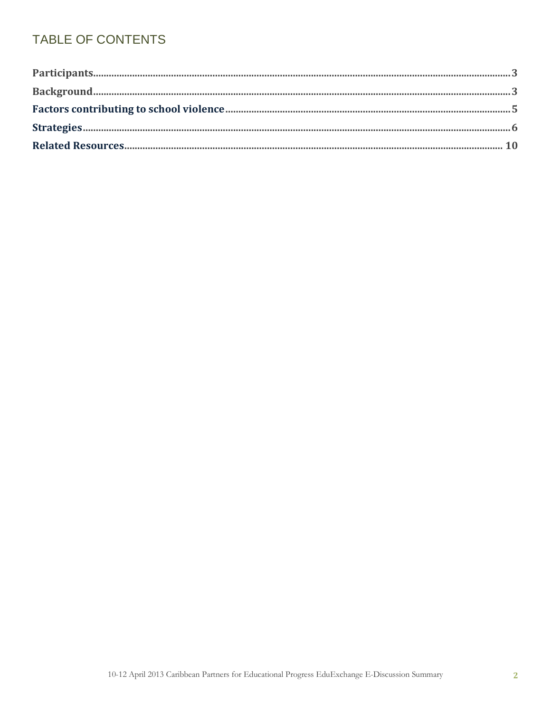# TABLE OF CONTENTS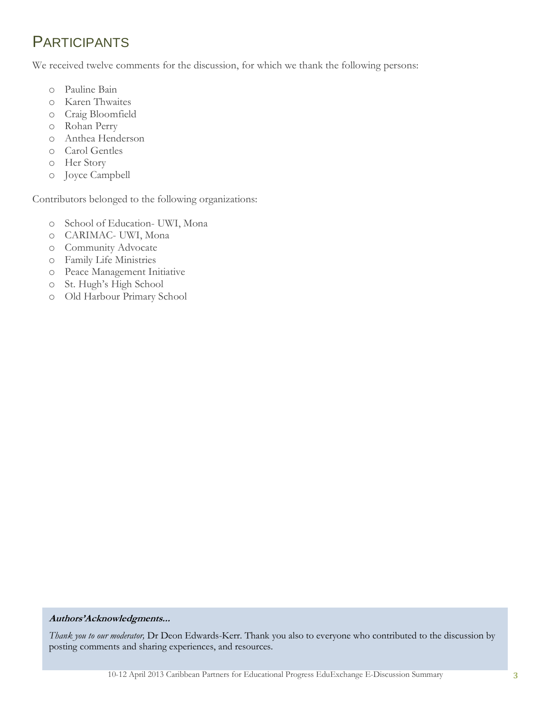# **PARTICIPANTS**

We received twelve comments for the discussion, for which we thank the following persons:

- o Pauline Bain
- o Karen Thwaites
- o Craig Bloomfield
- o Rohan Perry
- o Anthea Henderson
- o Carol Gentles
- o Her Story
- o Joyce Campbell

Contributors belonged to the following organizations:

- o School of Education- UWI, Mona
- o CARIMAC- UWI, Mona
- o Community Advocate
- o Family Life Ministries
- o Peace Management Initiative
- o St. Hugh's High School
- o Old Harbour Primary School

#### **Authors'Acknowledgments...**

*Thank you to our moderator,* Dr Deon Edwards-Kerr. Thank you also to everyone who contributed to the discussion by posting comments and sharing experiences, and resources.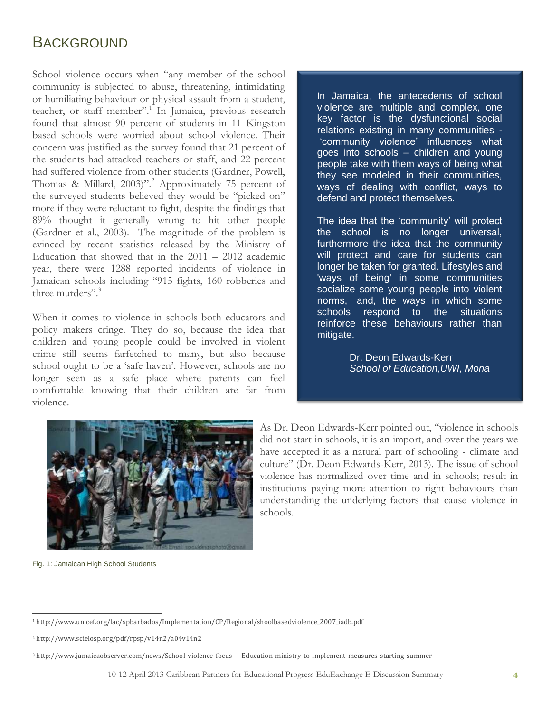# BACKGROUND

School violence occurs when "any member of the school community is subjected to abuse, threatening, intimidating or humiliating behaviour or physical assault from a student, teacher, or staff member".<sup>1</sup> In Jamaica, previous research found that almost 90 percent of students in 11 Kingston based schools were worried about school violence. Their concern was justified as the survey found that 21 percent of the students had attacked teachers or staff, and 22 percent had suffered violence from other students (Gardner, Powell, Thomas & Millard, 2003)".<sup>2</sup> Approximately 75 percent of the surveyed students believed they would be "picked on" more if they were reluctant to fight, despite the findings that 89% thought it generally wrong to hit other people (Gardner et al., 2003). The magnitude of the problem is evinced by recent statistics released by the Ministry of Education that showed that in the  $2011 - 2012$  academic year, there were 1288 reported incidents of violence in Jamaican schools including "915 fights, 160 robberies and three murders" $3$ 

When it comes to violence in schools both educators and policy makers cringe. They do so, because the idea that children and young people could be involved in violent crime still seems farfetched to many, but also because school ought to be a 'safe haven'. However, schools are no longer seen as a safe place where parents can feel comfortable knowing that their children are far from violence.

In Jamaica, the antecedents of school violence are multiple and complex, one key factor is the dysfunctional social relations existing in many communities - 'community violence' influences what goes into schools – children and young people take with them ways of being what they see modeled in their communities, ways of dealing with conflict, ways to defend and protect themselves.

The idea that the 'community' will protect the school is no longer universal, furthermore the idea that the community will protect and care for students can longer be taken for granted. Lifestyles and 'ways of being' in some communities socialize some young people into violent norms, and, the ways in which some schools respond to the situations reinforce these behaviours rather than mitigate.

> Dr. Deon Edwards-Kerr *School of Education,UWI, Mona*



Fig. 1: Jamaican High School Students

As Dr. Deon Edwards-Kerr pointed out, "violence in schools did not start in schools, it is an import, and over the years we have accepted it as a natural part of schooling - climate and culture" (Dr. Deon Edwards-Kerr, 2013). The issue of school violence has normalized over time and in schools; result in institutions paying more attention to right behaviours than understanding the underlying factors that cause violence in schools.

 $\overline{a}$ <sup>1</sup>[http://www.unicef.org/lac/spbarbados/Implementation/CP/Regional/shoolbasedviolence\\_2007\\_iadb.pdf](http://www.unicef.org/lac/spbarbados/Implementation/CP/Regional/shoolbasedviolence_2007_iadb.pdf)

<sup>2</sup> <http://www.scielosp.org/pdf/rpsp/v14n2/a04v14n2>

<sup>3</sup> <http://www.jamaicaobserver.com/news/School-violence-focus----Education-ministry-to-implement-measures-starting-summer>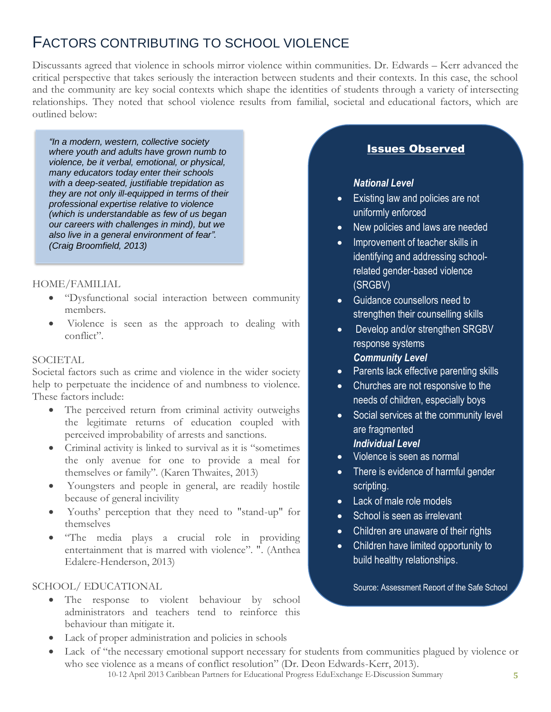# FACTORS CONTRIBUTING TO SCHOOL VIOLENCE

Discussants agreed that violence in schools mirror violence within communities. Dr. Edwards – Kerr advanced the critical perspective that takes seriously the interaction between students and their contexts. In this case, the school and the community are key social contexts which shape the identities of students through a variety of intersecting relationships. They noted that school violence results from familial, societal and educational factors, which are outlined below:

*"In a modern, western, collective society where youth and adults have grown numb to violence, be it verbal, emotional, or physical, many educators today enter their schools with a deep-seated, justifiable trepidation as they are not only ill-equipped in terms of their professional expertise relative to violence (which is understandable as few of us began our careers with challenges in mind), but we also live in a general environment of fear". (Craig Broomfield, 2013)*

# HOME/FAMILIAL

- "Dysfunctional social interaction between community members.
- Violence is seen as the approach to dealing with conflict".

#### **SOCIETAL**

Societal factors such as crime and violence in the wider society help to perpetuate the incidence of and numbness to violence. These factors include:

- The perceived return from criminal activity outweighs the legitimate returns of education coupled with perceived improbability of arrests and sanctions.
- Criminal activity is linked to survival as it is "sometimes the only avenue for one to provide a meal for themselves or family". (Karen Thwaites, 2013)
- Youngsters and people in general, are readily hostile because of general incivility
- Youths' perception that they need to "stand-up" for themselves
- "The media plays a crucial role in providing entertainment that is marred with violence". ". (Anthea Edalere-Henderson, 2013)

# SCHOOL/ EDUCATIONAL

• The response to violent behaviour by school administrators and teachers tend to reinforce this behaviour than mitigate it.

# Lack of proper administration and policies in schools

10-12 April 2013 Caribbean Partners for Educational Progress EduExchange E-Discussion Summary **5** Lack of "the necessary emotional support necessary for students from communities plagued by violence or who see violence as a means of conflict resolution" (Dr. Deon Edwards-Kerr, 2013).

# Issues Observed

#### *National Level*

- Existing law and policies are not uniformly enforced
- New policies and laws are needed
- Improvement of teacher skills in identifying and addressing schoolrelated gender-based violence (SRGBV)
- Guidance counsellors need to strengthen their counselling skills
- Develop and/or strengthen SRGBV response systems *Community Level*
- Parents lack effective parenting skills
- Churches are not responsive to the needs of children, especially boys
- Social services at the community level are fragmented

# *Individual Level*

- Violence is seen as normal
- There is evidence of harmful gender scripting.
- Lack of male role models
- School is seen as irrelevant
- Children are unaware of their rights
- Children have limited opportunity to build healthy relationships.

Source: Assessment Report of the Safe School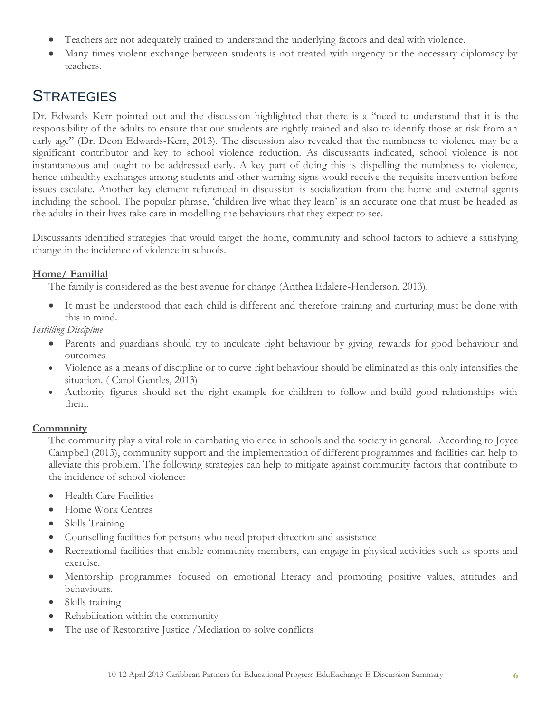- Teachers are not adequately trained to understand the underlying factors and deal with violence.
- Many times violent exchange between students is not treated with urgency or the necessary diplomacy by teachers.

# **STRATEGIES**

Dr. Edwards Kerr pointed out and the discussion highlighted that there is a "need to understand that it is the responsibility of the adults to ensure that our students are rightly trained and also to identify those at risk from an early age" (Dr. Deon Edwards-Kerr, 2013). The discussion also revealed that the numbness to violence may be a significant contributor and key to school violence reduction. As discussants indicated, school violence is not instantaneous and ought to be addressed early. A key part of doing this is dispelling the numbness to violence, hence unhealthy exchanges among students and other warning signs would receive the requisite intervention before issues escalate. Another key element referenced in discussion is socialization from the home and external agents including the school. The popular phrase, 'children live what they learn' is an accurate one that must be headed as the adults in their lives take care in modelling the behaviours that they expect to see.

Discussants identified strategies that would target the home, community and school factors to achieve a satisfying change in the incidence of violence in schools.

# **Home/ Familial**

The family is considered as the best avenue for change (Anthea Edalere-Henderson, 2013).

 It must be understood that each child is different and therefore training and nurturing must be done with this in mind.

*Instilling Discipline*

- Parents and guardians should try to inculcate right behaviour by giving rewards for good behaviour and outcomes
- Violence as a means of discipline or to curve right behaviour should be eliminated as this only intensifies the situation. ( Carol Gentles, 2013)
- Authority figures should set the right example for children to follow and build good relationships with them.

# **Community**

The community play a vital role in combating violence in schools and the society in general. According to Joyce Campbell (2013), community support and the implementation of different programmes and facilities can help to alleviate this problem. The following strategies can help to mitigate against community factors that contribute to the incidence of school violence:

- Health Care Facilities
- Home Work Centres
- Skills Training
- Counselling facilities for persons who need proper direction and assistance
- Recreational facilities that enable community members, can engage in physical activities such as sports and exercise.
- Mentorship programmes focused on emotional literacy and promoting positive values, attitudes and behaviours.
- Skills training
- Rehabilitation within the community
- The use of Restorative Justice /Mediation to solve conflicts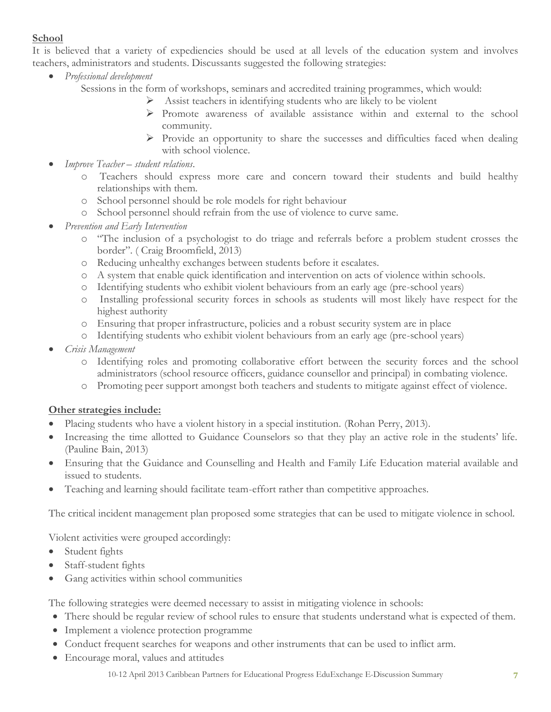# **School**

It is believed that a variety of expediencies should be used at all levels of the education system and involves teachers, administrators and students. Discussants suggested the following strategies:

- *Professional development* 
	- Sessions in the form of workshops, seminars and accredited training programmes, which would:
		- $\triangleright$  Assist teachers in identifying students who are likely to be violent
		- Promote awareness of available assistance within and external to the school community.
		- $\triangleright$  Provide an opportunity to share the successes and difficulties faced when dealing with school violence.
- *Improve Teacher – student relations*.
	- o Teachers should express more care and concern toward their students and build healthy relationships with them.
	- o School personnel should be role models for right behaviour
	- o School personnel should refrain from the use of violence to curve same.
- *Prevention and Early Intervention*
	- o "The inclusion of a psychologist to do triage and referrals before a problem student crosses the border". ( Craig Broomfield, 2013)
	- o Reducing unhealthy exchanges between students before it escalates.
	- o A system that enable quick identification and intervention on acts of violence within schools.
	- o Identifying students who exhibit violent behaviours from an early age (pre-school years)
	- o Installing professional security forces in schools as students will most likely have respect for the highest authority
	- o Ensuring that proper infrastructure, policies and a robust security system are in place
	- o Identifying students who exhibit violent behaviours from an early age (pre-school years)
- *Crisis Management*
	- o Identifying roles and promoting collaborative effort between the security forces and the school administrators (school resource officers, guidance counsellor and principal) in combating violence.
	- o Promoting peer support amongst both teachers and students to mitigate against effect of violence.

# **Other strategies include:**

- Placing students who have a violent history in a special institution. (Rohan Perry, 2013).
- Increasing the time allotted to Guidance Counselors so that they play an active role in the students' life. (Pauline Bain, 2013)
- Ensuring that the Guidance and Counselling and Health and Family Life Education material available and issued to students.
- Teaching and learning should facilitate team-effort rather than competitive approaches.

The critical incident management plan proposed some strategies that can be used to mitigate violence in school.

Violent activities were grouped accordingly:

- Student fights
- Staff-student fights
- Gang activities within school communities

The following strategies were deemed necessary to assist in mitigating violence in schools:

- There should be regular review of school rules to ensure that students understand what is expected of them.
- Implement a violence protection programme
- Conduct frequent searches for weapons and other instruments that can be used to inflict arm.
- Encourage moral, values and attitudes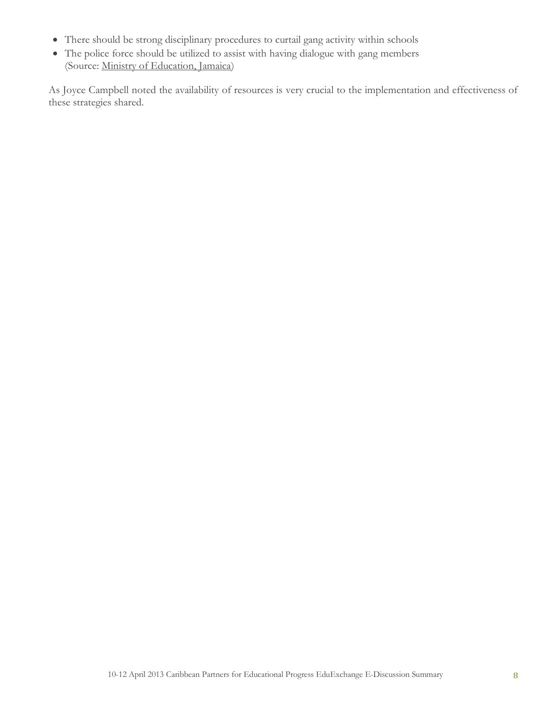- There should be strong disciplinary procedures to curtail gang activity within schools
- The police force should be utilized to assist with having dialogue with gang members (Source: [Ministry of Education, Jamaica\)](http://jamaica.kdid.org/groups/eduexchange-questioning-school-violence-jamaican-schoolsa-critical-perspective/guidelines-dev)

As Joyce Campbell noted the availability of resources is very crucial to the implementation and effectiveness of these strategies shared.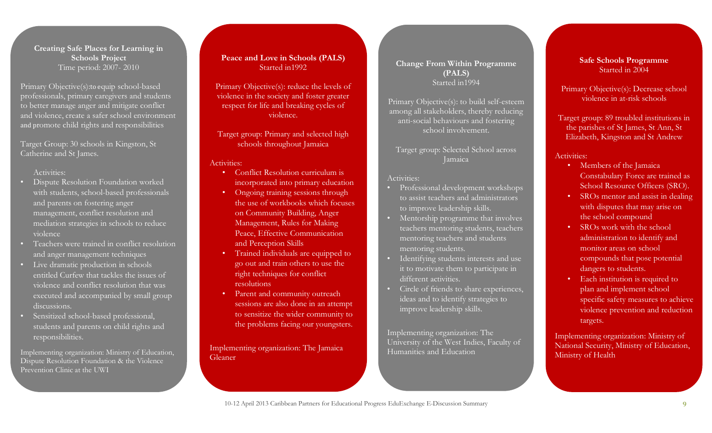#### **Creating Safe Places for Learning in Schools Project** Time period: 2007- 2010

Primary Objective(s):to equip school-based professionals, primary caregivers and students to better manage anger and mitigate conflict and violence, create a safer school environment and promote child rights and responsibilities

Target Group: 30 schools in Kingston, St Catherine and St James.

#### Activities:

- Dispute Resolution Foundation worked with students, school-based professionals and parents on fostering anger management, conflict resolution and mediation strategies in schools to reduce violence
- Teachers were trained in conflict resolution and anger management techniques
- Live dramatic production in schools entitled Curfew that tackles the issues of violence and conflict resolution that was executed and accompanied by small group discussions.
- Sensitized school-based professional, students and parents on child rights and responsibilities.

Implementing organization: Ministry of Education, Dispute Resolution Foundation & the Violence Prevention Clinic at the UWI

#### **Peace and Love in Schools (PALS)** Started in1992

Primary Objective(s): reduce the levels of violence in the society and foster greater respect for life and breaking cycles of violence.

Target group: Primary and selected high schools throughout Jamaica

#### Activities:

- Conflict Resolution curriculum is incorporated into primary education
- Ongoing training sessions through the use of workbooks which focuses on Community Building, Anger Management, Rules for Making Peace, Effective Communication and Perception Skills
- Trained individuals are equipped to go out and train others to use the right techniques for conflict resolutions
- Parent and community outreach sessions are also done in an attempt to sensitize the wider community to the problems facing our youngsters.

Implementing organization: The Jamaica Gleaner

## **Change From Within Programme (PALS)** Started in1994

Primary Objective(s): to build self-esteem among all stakeholders, thereby reducing anti-social behaviours and fostering school involvement.

Target group: Selected School across Jamaica

Activities:

- Professional development workshops to assist teachers and administrators to improve leadership skills.
- **IVERTHIP Mentorship programme that involves** teachers mentoring students, teachers mentoring teachers and students mentoring students.
- Identifying students interests and use it to motivate them to participate in different activities.
- Circle of friends to share experiences, ideas and to identify strategies to improve leadership skills.

Implementing organization: The University of the West Indies, Faculty of Humanities and Education

#### **Safe Schools Programme** Started in 2004

Primary Objective(s): Decrease school violence in at-risk schools

Target group: 89 troubled institutions in the parishes of St James, St Ann, St Elizabeth, Kingston and St Andrew

#### Activities:

- Members of the Jamaica Constabulary Force are trained as School Resource Officers (SRO).
- SROs mentor and assist in dealing with disputes that may arise on the school compound
- SROs work with the school administration to identify and monitor areas on school compounds that pose potential dangers to students.
- Each institution is required to plan and implement school specific safety measures to achieve violence prevention and reduction targets.

Implementing organization: Ministry of National Security, Ministry of Education, Ministry of Health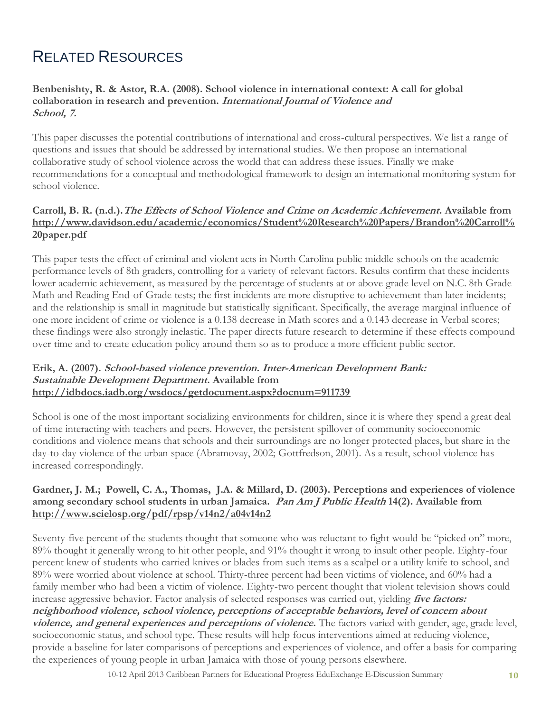# RELATED RESOURCES

## **Benbenishty, R. & Astor, R.A. (2008). School violence in international context: A call for global collaboration in research and prevention. International Journal of Violence and School, 7.**

This paper discusses the potential contributions of international and cross-cultural perspectives. We list a range of questions and issues that should be addressed by international studies. We then propose an international collaborative study of school violence across the world that can address these issues. Finally we make recommendations for a conceptual and methodological framework to design an international monitoring system for school violence.

# **Carroll, B. R. (n.d.).The Effects of School Violence and Crime on Academic Achievement. Available from [http://www.davidson.edu/academic/economics/Student%20Research%20Papers/Brandon%20Carroll%](http://www.davidson.edu/academic/economics/Student%20Research%20Papers/Brandon%20Carroll%20paper.pdf) [20paper.pdf](http://www.davidson.edu/academic/economics/Student%20Research%20Papers/Brandon%20Carroll%20paper.pdf)**

This paper tests the effect of criminal and violent acts in North Carolina public middle schools on the academic performance levels of 8th graders, controlling for a variety of relevant factors. Results confirm that these incidents lower academic achievement, as measured by the percentage of students at or above grade level on N.C. 8th Grade Math and Reading End-of-Grade tests; the first incidents are more disruptive to achievement than later incidents; and the relationship is small in magnitude but statistically significant. Specifically, the average marginal influence of one more incident of crime or violence is a 0.138 decrease in Math scores and a 0.143 decrease in Verbal scores; these findings were also strongly inelastic. The paper directs future research to determine if these effects compound over time and to create education policy around them so as to produce a more efficient public sector.

#### **Erik, A. (2007). School-based violence prevention. Inter-American Development Bank: Sustainable Development Department. Available from <http://idbdocs.iadb.org/wsdocs/getdocument.aspx?docnum=911739>**

School is one of the most important socializing environments for children, since it is where they spend a great deal of time interacting with teachers and peers. However, the persistent spillover of community socioeconomic conditions and violence means that schools and their surroundings are no longer protected places, but share in the day-to-day violence of the urban space (Abramovay, 2002; Gottfredson, 2001). As a result, school violence has increased correspondingly.

# **Gardner, J. M.; Powell, C. A., Thomas, J.A. & Millard, D. (2003). Perceptions and experiences of violence among secondary school students in urban Jamaica. Pan Am J Public Health 14(2). Available from <http://www.scielosp.org/pdf/rpsp/v14n2/a04v14n2>**

Seventy-five percent of the students thought that someone who was reluctant to fight would be "picked on" more, 89% thought it generally wrong to hit other people, and 91% thought it wrong to insult other people. Eighty-four percent knew of students who carried knives or blades from such items as a scalpel or a utility knife to school, and 89% were worried about violence at school. Thirty-three percent had been victims of violence, and 60% had a family member who had been a victim of violence. Eighty-two percent thought that violent television shows could increase aggressive behavior. Factor analysis of selected responses was carried out, yielding **five factors: neighborhood violence, school violence, perceptions of acceptable behaviors, level of concern about violence, and general experiences and perceptions of violence.** The factors varied with gender, age, grade level, socioeconomic status, and school type. These results will help focus interventions aimed at reducing violence, provide a baseline for later comparisons of perceptions and experiences of violence, and offer a basis for comparing the experiences of young people in urban Jamaica with those of young persons elsewhere.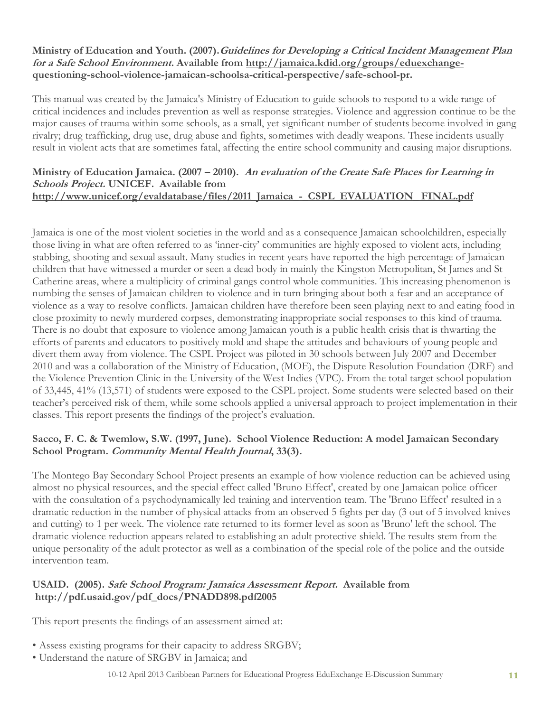#### **Ministry of Education and Youth. (2007).Guidelines for Developing a Critical Incident Management Plan for a Safe School Environment. Available from [http://jamaica.kdid.org/groups/eduexchange](http://jamaica.kdid.org/groups/eduexchange-questioning-school-violence-jamaican-schoolsa-critical-perspective/safe-school-pr)[questioning-school-violence-jamaican-schoolsa-critical-perspective/safe-school-pr.](http://jamaica.kdid.org/groups/eduexchange-questioning-school-violence-jamaican-schoolsa-critical-perspective/safe-school-pr)**

This manual was created by the Jamaica's Ministry of Education to guide schools to respond to a wide range of critical incidences and includes prevention as well as response strategies. Violence and aggression continue to be the major causes of trauma within some schools, as a small, yet significant number of students become involved in gang rivalry; drug trafficking, drug use, drug abuse and fights, sometimes with deadly weapons. These incidents usually result in violent acts that are sometimes fatal, affecting the entire school community and causing major disruptions.

#### **Ministry of Education Jamaica. (2007 – 2010). An evaluation of the Create Safe Places for Learning in Schools Project. UNICEF. Available from**  [http://www.unicef.org/evaldatabase/files/2011\\_Jamaica\\_-\\_CSPL\\_EVALUATION\\_ FINAL.pdf](http://www.unicef.org/evaldatabase/files/2011_Jamaica_-_CSPL_EVALUATION_%20FINAL.pdf)

Jamaica is one of the most violent societies in the world and as a consequence Jamaican schoolchildren, especially those living in what are often referred to as 'inner-city' communities are highly exposed to violent acts, including stabbing, shooting and sexual assault. Many studies in recent years have reported the high percentage of Jamaican children that have witnessed a murder or seen a dead body in mainly the Kingston Metropolitan, St James and St Catherine areas, where a multiplicity of criminal gangs control whole communities. This increasing phenomenon is numbing the senses of Jamaican children to violence and in turn bringing about both a fear and an acceptance of violence as a way to resolve conflicts. Jamaican children have therefore been seen playing next to and eating food in close proximity to newly murdered corpses, demonstrating inappropriate social responses to this kind of trauma. There is no doubt that exposure to violence among Jamaican youth is a public health crisis that is thwarting the efforts of parents and educators to positively mold and shape the attitudes and behaviours of young people and divert them away from violence. The CSPL Project was piloted in 30 schools between July 2007 and December 2010 and was a collaboration of the Ministry of Education, (MOE), the Dispute Resolution Foundation (DRF) and the Violence Prevention Clinic in the University of the West Indies (VPC). From the total target school population of 33,445, 41% (13,571) of students were exposed to the CSPL project. Some students were selected based on their teacher's perceived risk of them, while some schools applied a universal approach to project implementation in their classes. This report presents the findings of the project's evaluation.

## **Sacco, F. C. & Twemlow, S.W. (1997, June). School Violence Reduction: A model Jamaican Secondary School Program. Community Mental Health Journal, 33(3).**

The Montego Bay Secondary School Project presents an example of how violence reduction can be achieved using almost no physical resources, and the special effect called 'Bruno Effect', created by one Jamaican police officer with the consultation of a psychodynamically led training and intervention team. The 'Bruno Effect' resulted in a dramatic reduction in the number of physical attacks from an observed 5 fights per day (3 out of 5 involved knives and cutting) to 1 per week. The violence rate returned to its former level as soon as 'Bruno' left the school. The dramatic violence reduction appears related to establishing an adult protective shield. The results stem from the unique personality of the adult protector as well as a combination of the special role of the police and the outside intervention team.

## **USAID. (2005). Safe School Program: Jamaica Assessment Report. Available from http://pdf.usaid.gov/pdf\_docs/PNADD898.pdf2005**

This report presents the findings of an assessment aimed at:

- Assess existing programs for their capacity to address SRGBV;
- Understand the nature of SRGBV in Jamaica; and